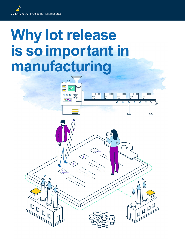## **Why lot release is so important in manufacturing**

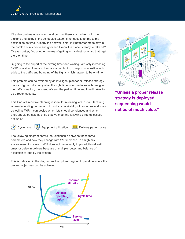If I arrive on-time or early to the airport but there is a problem with the airplane and delay in the scheduled takeoff time, does it get me to my destination on time? Clearly the answer is No! Is it better for me to stay in the comfort of my home and go when I know the plane is ready to take off? Or even better, find another means of getting to my destination so that I get there on time.

By going to the airport at the "wrong time" and waiting I am only increasing "WIP" or waiting time and I am also contributing to airport congestion which adds to the traffic and boarding of the flights which happen to be on-time.

This problem can be avoided by an intelligent planner or, release strategy, that can figure out exactly what the right time is for me to leave home given the traffic situation, the speed of cars, the parking time and time it takes to go through security.

This kind of Predictive planning is ideal for releasing lots in manufacturing where depending on the mix of products, availability of resources and tools as well as WIP, it can decide which lots should be released and which ones should be held back so that we meet the following three objectives optimally:



Cycle time  $\lfloor \frac{m}{2} \rfloor$  Equipment utilization  $\lfloor \frac{m}{2} \rfloor$  Delivery performance

The following diagram shows the relationship between these three parameters and how they change with WIP increase. In a high mix environment, increase in WIP does not necessarily imply additional wait times or delay in delivery because of multiple routes and balance of allocation of jobs by the system.

This is indicated in the diagram as the optimal region of operation where the desired objectives can be achieved.





**"Unless a proper release strategy is deployed, sequencing would not be of much value."**